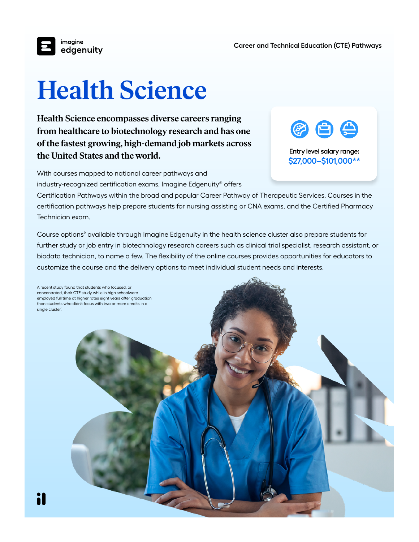

## **Health Science**

**Health Science encompasses diverse careers ranging from healthcare to biotechnology research and has one of the fastest growing, high-demand job markets across the United States and the world.** 



**Entry level salary range: \$27,000–\$101,000\*\***

With courses mapped to national career pathways and industry-recognized certification exams, Imagine Edgenuity® offers

Certification Pathways within the broad and popular Career Pathway of Therapeutic Services. Courses in the certification pathways help prepare students for nursing assisting or CNA exams, and the Certified Pharmacy Technician exam.

Course options<sup>®</sup> available through Imagine Edgenuity in the health science cluster also prepare students for further study or job entry in biotechnology research careers such as clinical trial specialist, research assistant, or biodata technician, to name a few. The flexibility of the online courses provides opportunities for educators to customize the course and the delivery options to meet individual student needs and interests.